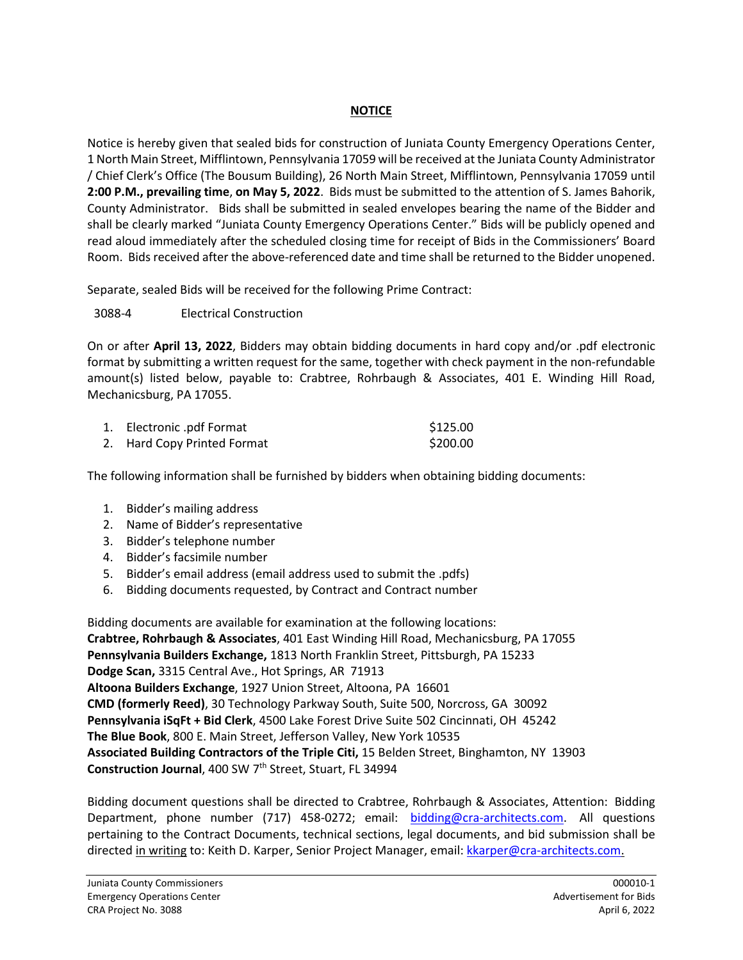## **NOTICE**

Notice is hereby given that sealed bids for construction of Juniata County Emergency Operations Center, 1 North Main Street, Mifflintown, Pennsylvania 17059 will be received at the Juniata County Administrator / Chief Clerk's Office (The Bousum Building), 26 North Main Street, Mifflintown, Pennsylvania 17059 until **2:00 P.M., prevailing time**, **on May 5, 2022**. Bids must be submitted to the attention of S. James Bahorik, County Administrator. Bids shall be submitted in sealed envelopes bearing the name of the Bidder and shall be clearly marked "Juniata County Emergency Operations Center." Bids will be publicly opened and read aloud immediately after the scheduled closing time for receipt of Bids in the Commissioners' Board Room. Bids received after the above-referenced date and time shall be returned to the Bidder unopened.

Separate, sealed Bids will be received for the following Prime Contract:

3088-4 Electrical Construction

On or after **April 13, 2022**, Bidders may obtain bidding documents in hard copy and/or .pdf electronic format by submitting a written request for the same, together with check payment in the non-refundable amount(s) listed below, payable to: Crabtree, Rohrbaugh & Associates, 401 E. Winding Hill Road, Mechanicsburg, PA 17055.

| 1. Electronic .pdf Format   | \$125.00 |
|-----------------------------|----------|
| 2. Hard Copy Printed Format | \$200.00 |

The following information shall be furnished by bidders when obtaining bidding documents:

- 1. Bidder's mailing address
- 2. Name of Bidder's representative
- 3. Bidder's telephone number
- 4. Bidder's facsimile number
- 5. Bidder's email address (email address used to submit the .pdfs)
- 6. Bidding documents requested, by Contract and Contract number

Bidding documents are available for examination at the following locations: **Crabtree, Rohrbaugh & Associates**, 401 East Winding Hill Road, Mechanicsburg, PA 17055 **Pennsylvania Builders Exchange,** 1813 North Franklin Street, Pittsburgh, PA 15233 **Dodge Scan,** 3315 Central Ave., Hot Springs, AR 71913 **Altoona Builders Exchange**, 1927 Union Street, Altoona, PA 16601 **CMD (formerly Reed)**, 30 Technology Parkway South, Suite 500, Norcross, GA 30092 **Pennsylvania iSqFt + Bid Clerk**, 4500 Lake Forest Drive Suite 502 Cincinnati, OH 45242 **The Blue Book**, 800 E. Main Street, Jefferson Valley, New York 10535 **Associated Building Contractors of the Triple Citi,** 15 Belden Street, Binghamton, NY 13903 **Construction Journal**, 400 SW 7th Street, Stuart, FL 34994

Bidding document questions shall be directed to Crabtree, Rohrbaugh & Associates, Attention: Bidding Department, phone number (717) 458-0272; email: [bidding@cra-architects.com.](mailto:bidding@cra-architects.com) All questions pertaining to the Contract Documents, technical sections, legal documents, and bid submission shall be directed in writing to: Keith D. Karper, Senior Project Manager, email[: kkarper@cra-architects.com.](mailto:kkarper@cra-architects.com)